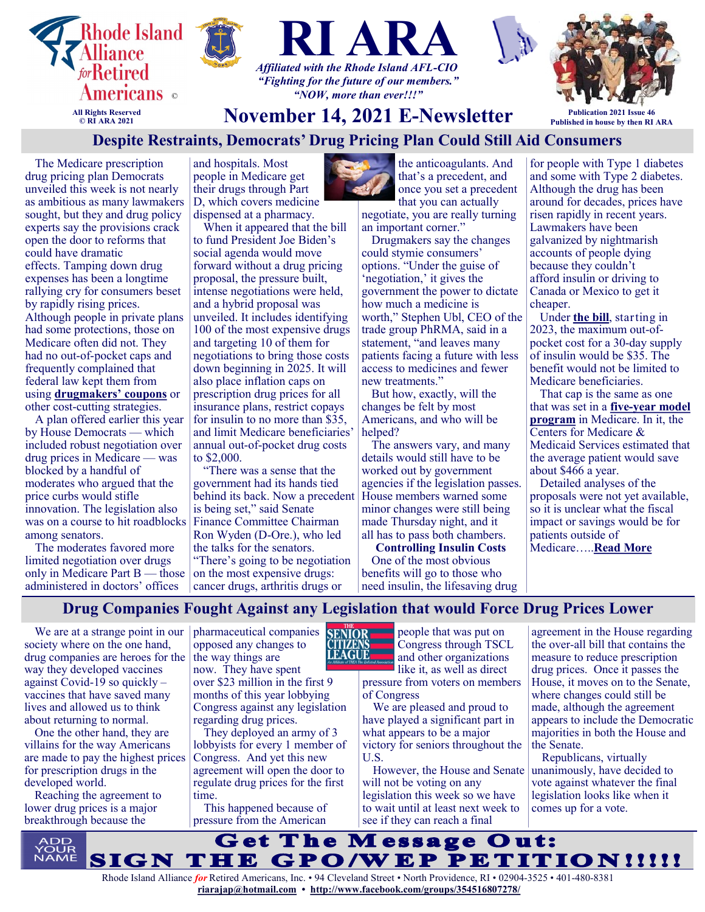







**Published in house by then RI ARA**

# **November 14, 2021 E-Newsletter Publication 2021 Issue 40**

# **Despite Restraints, Democrats' Drug Pricing Plan Could Still Aid Consumers**

The Medicare prescription drug pricing plan Democrats unveiled this week is not nearly as ambitious as many lawmakers sought, but they and drug policy experts say the provisions crack open the door to reforms that could have dramatic effects. Tamping down drug expenses has been a longtime rallying cry for consumers beset by rapidly rising prices. Although people in private plans had some protections, those on Medicare often did not. They had no out-of-pocket caps and frequently complained that federal law kept them from using **[drugmakers' coupons](https://oig.hhs.gov/oei/reports/oei-05-12-00540.pdf)** or other cost-cutting strategies.

A plan offered earlier this year by House Democrats — which included robust negotiation over drug prices in Medicare — was blocked by a handful of moderates who argued that the price curbs would stifle innovation. The legislation also was on a course to hit roadblocks among senators.

The moderates favored more limited negotiation over drugs only in Medicare Part B — those administered in doctors' offices

and hospitals. Most people in Medicare get their drugs through Part D, which covers medicine dispensed at a pharmacy.

When it appeared that the bill to fund President Joe Biden's social agenda would move forward without a drug pricing proposal, the pressure built, intense negotiations were held, and a hybrid proposal was unveiled. It includes identifying 100 of the most expensive drugs and targeting 10 of them for negotiations to bring those costs down beginning in 2025. It will also place inflation caps on prescription drug prices for all insurance plans, restrict copays for insulin to no more than \$35, and limit Medicare beneficiaries' annual out-of-pocket drug costs to \$2,000.

"There was a sense that the government had its hands tied behind its back. Now a precedent is being set," said Senate Finance Committee Chairman Ron Wyden (D-Ore.), who led the talks for the senators. "There's going to be negotiation on the most expensive drugs: cancer drugs, arthritis drugs or



the anticoagulants. And that's a precedent, and once you set a precedent that you can actually

negotiate, you are really turning an important corner."

Drugmakers say the changes could stymie consumers' options. "Under the guise of 'negotiation,' it gives the government the power to dictate how much a medicine is worth," Stephen Ubl, CEO of the trade group PhRMA, said in a statement, "and leaves many patients facing a future with less access to medicines and fewer new treatments."

But how, exactly, will the changes be felt by most Americans, and who will be helped?

The answers vary, and many details would still have to be worked out by government agencies if the legislation passes. House members warned some minor changes were still being made Thursday night, and it all has to pass both chambers.

**Controlling Insulin Costs** One of the most obvious benefits will go to those who need insulin, the lifesaving drug

for people with Type 1 diabetes and some with Type 2 diabetes. Although the drug has been around for decades, prices have risen rapidly in recent years. Lawmakers have been galvanized by nightmarish accounts of people dying because they couldn't afford insulin or driving to Canada or Mexico to get it cheaper.

Under **[the bill](https://rules.house.gov/sites/democrats.rules.house.gov/files/BILLS-117HR5376RH-RCP117-18.pdf)**, starting in 2023, the maximum out-ofpocket cost for a 30-day supply of insulin would be \$35. The benefit would not be limited to Medicare beneficiaries.

That cap is the same as one that was set in a **five-[year model](https://innovation.cms.gov/innovation-models/part-d-savings-model)  [program](https://innovation.cms.gov/innovation-models/part-d-savings-model)** in Medicare. In it, the Centers for Medicare & Medicaid Services estimated that the average patient would save about \$466 a year.

Detailed analyses of the proposals were not yet available, so it is unclear what the fiscal impact or savings would be for patients outside of Medicare…..**[Read More](https://khn.org/news/article/despite-restraints-democrats-drug-pricing-plan-could-still-aid-consumers/)**

# **Drug Companies Fought Against any Legislation that would Force Drug Prices Lower**

We are at a strange point in our society where on the one hand, drug companies are heroes for the way they developed vaccines against Covid-19 so quickly – vaccines that have saved many lives and allowed us to think about returning to normal.

One the other hand, they are villains for the way Americans are made to pay the highest prices for prescription drugs in the developed world.

Reaching the agreement to lower drug prices is a major breakthrough because the

pharmaceutical companies **SENTOR** opposed any changes to the way things are now. They have spent over \$23 million in the first 9 months of this year lobbying Congress against any legislation regarding drug prices.

They deployed an army of 3 lobbyists for every 1 member of Congress. And yet this new agreement will open the door to regulate drug prices for the first time.

This happened because of pressure from the American



people that was put on Congress through TSCL and other organizations like it, as well as direct

pressure from voters on members of Congress

We are pleased and proud to have played a significant part in what appears to be a major victory for seniors throughout the U.S.

However, the House and Senate will not be voting on any legislation this week so we have to wait until at least next week to see if they can reach a final

agreement in the House regarding the over-all bill that contains the measure to reduce prescription drug prices. Once it passes the House, it moves on to the Senate, where changes could still be made, although the agreement appears to include the Democratic majorities in both the House and the Senate.

Republicans, virtually unanimously, have decided to vote against whatever the final legislation looks like when it comes up for a vote.

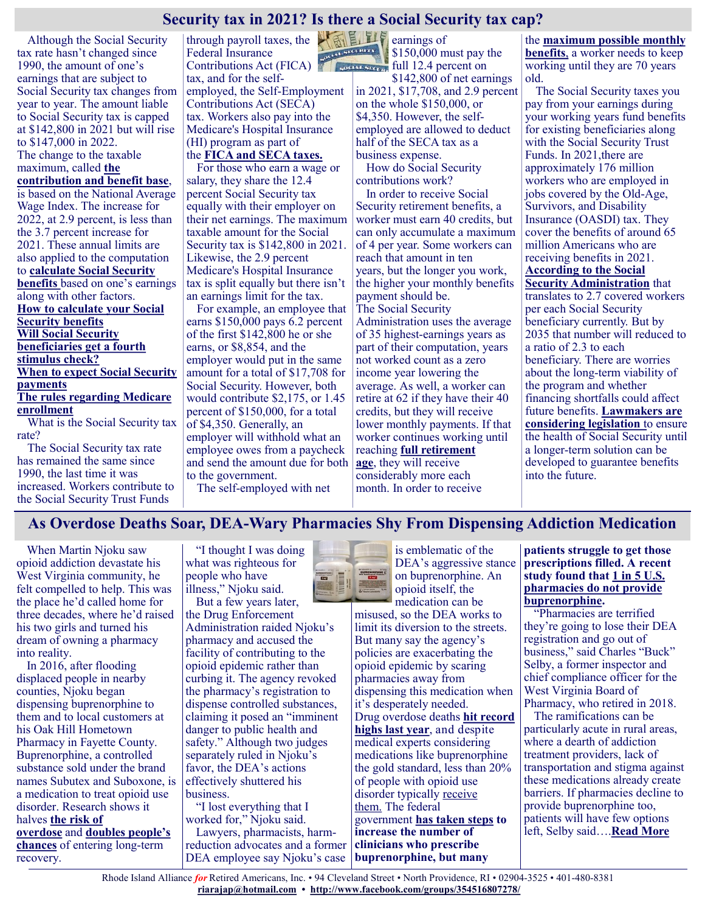# **Security tax in 2021? Is there a Social Security tax cap?**

Although the Social Security tax rate hasn't changed since 1990, the amount of one's earnings that are subject to Social Security tax changes from year to year. The amount liable to Social Security tax is capped at \$142,800 in 2021 but will rise to \$147,000 in 2022. The change to the taxable maximum, called **[the](https://www.ssa.gov/oact/cola/cbb.html)  [contribution and benefit base](https://www.ssa.gov/oact/cola/cbb.html)**, is based on the National Average Wage Index. The increase for 2022, at 2.9 percent, is less than the 3.7 percent increase for 2021. These annual limits are also applied to the computation to **[calculate Social Security](https://en.as.com/en/2021/11/03/latest_news/1635947320_434667.html)  [benefits](https://en.as.com/en/2021/11/03/latest_news/1635947320_434667.html)** based on one's earnings along with other factors. **[How to calculate your Social](https://en.as.com/en/2021/11/03/latest_news/1635947320_434667.html)  [Security benefits](https://en.as.com/en/2021/11/03/latest_news/1635947320_434667.html) [Will Social Security](https://en.as.com/en/2021/11/03/latest_news/1635895341_553486.html)  [beneficiaries get a fourth](https://en.as.com/en/2021/11/03/latest_news/1635895341_553486.html)  [stimulus check?](https://en.as.com/en/2021/11/03/latest_news/1635895341_553486.html) [When to expect Social Security](https://en.as.com/en/2021/11/05/latest_news/1636067511_623006.html)  [payments](https://en.as.com/en/2021/11/05/latest_news/1636067511_623006.html) [The rules regarding Medicare](https://en.as.com/en/2021/11/02/latest_news/1635893080_610543.html)  [enrollment](https://en.as.com/en/2021/11/02/latest_news/1635893080_610543.html)**

What is the Social Security tax rate?

The Social Security tax rate has remained the same since 1990, the last time it was increased. Workers contribute to the Social Security Trust Funds

through payroll taxes, the  $\Box$   $\Box$  earnings of Federal Insurance Contributions Act (FICA) tax, and for the selfemployed, the Self-Employment Contributions Act (SECA) tax. Workers also pay into the Medicare's Hospital Insurance (HI) program as part of the **[FICA and SECA taxes.](https://faq.ssa.gov/en-us/Topic/article/KA-02375#:~:text=The%20self%2Demployed%20pay%20Self,tax%20as%20a%20business%20expense.)**

For those who earn a wage or salary, they share the 12.4 percent Social Security tax equally with their employer on their net earnings. The maximum taxable amount for the Social Security tax is \$142,800 in 2021. Likewise, the 2.9 percent Medicare's Hospital Insurance tax is split equally but there isn't

an earnings limit for the tax. For example, an employee that earns \$150,000 pays 6.2 percent of the first \$142,800 he or she earns, or \$8,854, and the employer would put in the same amount for a total of \$17,708 for Social Security. However, both would contribute \$2,175, or 1.45 percent of \$150,000, for a total of \$4,350. Generally, an employer will withhold what an employee owes from a paycheck and send the amount due for both to the government.

The self-employed with net

\$150,000 must pay the full 12.4 percent on

\$142,800 of net earnings in 2021, \$17,708, and 2.9 percent on the whole \$150,000, or \$4,350. However, the selfemployed are allowed to deduct half of the SECA tax as a business expense.

How do Social Security contributions work?

In order to receive Social Security retirement benefits, a worker must earn 40 credits, but can only accumulate a maximum of 4 per year. Some workers can reach that amount in ten years, but the longer you work, the higher your monthly benefits payment should be. The Social Security Administration uses the average of 35 highest-earnings years as part of their computation, years not worked count as a zero income year lowering the average. As well, a worker can retire at 62 if they have their 40 credits, but they will receive lower monthly payments. If that worker continues working until reaching **[full retirement](https://www.ssa.gov/benefits/retirement/planner/agereduction.html)  [age](https://www.ssa.gov/benefits/retirement/planner/agereduction.html)**, they will receive considerably more each month. In order to receive

the **[maximum possible monthly](https://en.as.com/en/2021/10/16/latest_news/1634415016_060254.html)  [benefits](https://en.as.com/en/2021/10/16/latest_news/1634415016_060254.html)**, a worker needs to keep working until they are 70 years old.

The Social Security taxes you pay from your earnings during your working years fund benefits for existing beneficiaries along with the Social Security Trust Funds. In 2021,there are approximately 176 million workers who are employed in jobs covered by the Old-Age, Survivors, and Disability Insurance (OASDI) tax. They cover the benefits of around 65 million Americans who are receiving benefits in 2021. **[According to the Social](https://www.ssa.gov/news/press/factsheets/basicfact-alt.pdf)  [Security Administration](https://www.ssa.gov/news/press/factsheets/basicfact-alt.pdf)** that translates to 2.7 covered workers per each Social Security beneficiary currently. But by 2035 that number will reduced to a ratio of 2.3 to each beneficiary. There are worries about the long-term viability of the program and whether financing shortfalls could affect future benefits. **[Lawmakers are](https://en.as.com/en/2021/11/02/latest_news/1635856539_243627.html)  [considering legislation](https://en.as.com/en/2021/11/02/latest_news/1635856539_243627.html)** to ensure the health of Social Security until a longer-term solution can be developed to guarantee benefits into the future.

## **As Overdose Deaths Soar, DEA-Wary Pharmacies Shy From Dispensing Addiction Medication**

When Martin Njoku saw opioid addiction devastate his West Virginia community, he felt compelled to help. This was the place he'd called home for three decades, where he'd raised his two girls and turned his dream of owning a pharmacy into reality.

In 2016, after flooding displaced people in nearby counties, Njoku began dispensing buprenorphine to them and to local customers at his Oak Hill Hometown Pharmacy in Fayette County. Buprenorphine, a controlled substance sold under the brand names Subutex and Suboxone, is a medication to treat opioid use disorder. Research shows it halves **[the risk of](https://www.careinnovations.org/wp-content/uploads/MOUD-Saves-Lives_NAS_2019.pdf)  [overdose](https://www.careinnovations.org/wp-content/uploads/MOUD-Saves-Lives_NAS_2019.pdf)** and **[doubles people's](https://jamanetwork.com/journals/jama/fullarticle/2279713)  [chances](https://jamanetwork.com/journals/jama/fullarticle/2279713)** of entering long-term recovery.

"I thought I was doing what was righteous for people who have illness," Njoku said.

But a few years later, the Drug Enforcement

Administration raided Njoku's pharmacy and accused the facility of contributing to the opioid epidemic rather than curbing it. The agency revoked the pharmacy's registration to dispense controlled substances, claiming it posed an "imminent danger to public health and safety." Although two judges separately ruled in Njoku's favor, the DEA's actions effectively shuttered his business.

"I lost everything that I worked for," Njoku said. Lawyers, pharmacists, harmreduction advocates and a former DEA employee say Njoku's case



is emblematic of the DEA's aggressive stance on buprenorphine. An opioid itself, the medication can be

misused, so the DEA works to limit its diversion to the streets. But many say the agency's policies are exacerbating the opioid epidemic by scaring pharmacies away from dispensing this medication when it's desperately needed. Drug overdose deaths **[hit record](https://www.cnn.com/2021/07/14/health/drug-overdose-deaths-2020/index.html)  [highs last year](https://www.cnn.com/2021/07/14/health/drug-overdose-deaths-2020/index.html)**, and despite medical experts considering medications like buprenorphine the gold standard, less than 20% of people with opioid use disorder typically receive [them.](https://www.pewtrusts.org/en/research-and-analysis/issue-briefs/2021/05/policies-should-promote-access-to-buprenorphine-for-opioid-use-disorder) The federal government **[has taken steps](https://www.usnews.com/news/health-news/articles/2021-04-28/biden-administration-eases-prescribing-requirements-for-opioid-treatment-drug) to increase the number of clinicians who prescribe buprenorphine, but many** 

### **patients struggle to get those prescriptions filled. A recent study found that [1 in 5 U.S.](https://www.sciencedirect.com/science/article/abs/pii/S0376871621002246)  [pharmacies do not provide](https://www.sciencedirect.com/science/article/abs/pii/S0376871621002246)  [buprenorphine.](https://www.sciencedirect.com/science/article/abs/pii/S0376871621002246)**

"Pharmacies are terrified they're going to lose their DEA registration and go out of business," said Charles "Buck" Selby, a former inspector and chief compliance officer for the West Virginia Board of Pharmacy, who retired in 2018.

The ramifications can be particularly acute in rural areas, where a dearth of addiction treatment providers, lack of transportation and stigma against these medications already create barriers. If pharmacies decline to provide buprenorphine too, patients will have few options left, Selby said….**[Read More](https://khn.org/news/article/as-overdose-deaths-soar-dea-wary-pharmacies-shy-from-dispensing-addiction-medication/)**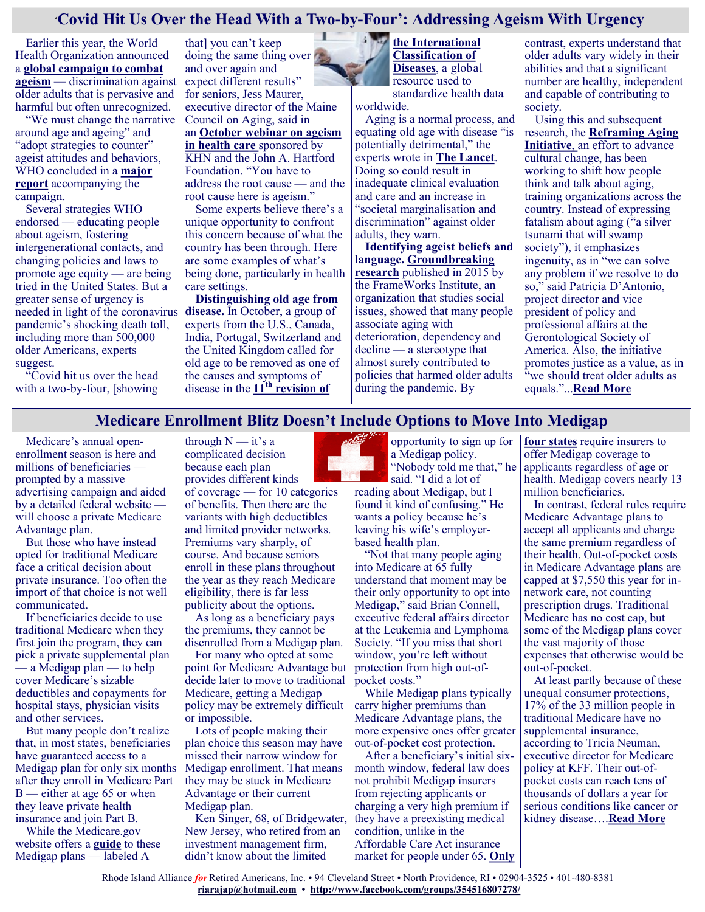# '**Covid Hit Us Over the Head With a Two-by-Four': Addressing Ageism With Urgency**

Earlier this year, the World Health Organization announced a **[global campaign to combat](https://www.who.int/teams/social-determinants-of-health/demographic-change-and-healthy-ageing/combatting-ageism)  [ageism](https://www.who.int/teams/social-determinants-of-health/demographic-change-and-healthy-ageing/combatting-ageism)** — discrimination against older adults that is pervasive and harmful but often unrecognized.

"We must change the narrative around age and ageing" and "adopt strategies to counter" ageist attitudes and behaviors, WHO concluded in a **[major](https://www.who.int/teams/social-determinants-of-health/demographic-change-and-healthy-ageing/combatting-ageism)  [report](https://www.who.int/teams/social-determinants-of-health/demographic-change-and-healthy-ageing/combatting-ageism)** accompanying the campaign.

Several strategies WHO endorsed — educating people about ageism, fostering intergenerational contacts, and changing policies and laws to promote age equity — are being tried in the United States. But a greater sense of urgency is needed in light of the coronavirus pandemic's shocking death toll, including more than 500,000 older Americans, experts suggest.

"Covid hit us over the head with a two-by-four, [showing

that] you can't keep doing the same thing over  $\sigma$ and over again and expect different results" for seniors, Jess Maurer, executive director of the Maine Council on Aging, said in an **[October webinar on ageism](https://khn.org/news/article/watch-confronting-ageism-in-health-care-a-conversation-for-patients-caregivers-and-clinicians/)  [in health care](https://khn.org/news/article/watch-confronting-ageism-in-health-care-a-conversation-for-patients-caregivers-and-clinicians/)** sponsored by KHN and the John A. Hartford Foundation. "You have to address the root cause — and the root cause here is ageism."

Some experts believe there's a unique opportunity to confront this concern because of what the country has been through. Here are some examples of what's being done, particularly in health care settings.

**Distinguishing old age from disease.** In October, a group of experts from the U.S., Canada, India, Portugal, Switzerland and the United Kingdom called for old age to be removed as one of the causes and symptoms of disease in the **11th [revision of](https://icd.who.int/en/docs/icd11factsheet_en.pdf)** 

**[the International](https://icd.who.int/en/docs/icd11factsheet_en.pdf)  [Classification of](https://icd.who.int/en/docs/icd11factsheet_en.pdf)  [Diseases](https://icd.who.int/en/docs/icd11factsheet_en.pdf)**, a global resource used to

standardize health data worldwide.

Aging is a normal process, and equating old age with disease "is potentially detrimental," the experts wrote in **[The Lancet](https://www.thelancet.com/journals/lanhl/article/PIIS2666-7568(21)00201-4/fulltext)**. Doing so could result in inadequate clinical evaluation and care and an increase in "societal marginalisation and discrimination" against older adults, they warn.

**Identifying ageist beliefs and language. [Groundbreaking](https://www.frameworksinstitute.org/publication/gauging-aging-mapping-the-gaps-between-expert-and-public-understandings-of-aging-in-america/)  [research](https://www.frameworksinstitute.org/publication/gauging-aging-mapping-the-gaps-between-expert-and-public-understandings-of-aging-in-america/)** published in 2015 by the FrameWorks Institute, an organization that studies social issues, showed that many people associate aging with deterioration, dependency and decline — a stereotype that almost surely contributed to policies that harmed older adults during the pandemic. By

contrast, experts understand that older adults vary widely in their abilities and that a significant number are healthy, independent and capable of contributing to society.

Using this and subsequent research, the **[Reframing Aging](https://www.reframingaging.org/)  [Initiative](https://www.reframingaging.org/)**, an effort to advance cultural change, has been working to shift how people think and talk about aging, training organizations across the country. Instead of expressing fatalism about aging ("a silver tsunami that will swamp society"), it emphasizes ingenuity, as in "we can solve any problem if we resolve to do so," said Patricia D'Antonio, project director and vice president of policy and professional affairs at the Gerontological Society of America. Also, the initiative promotes justice as a value, as in "we should treat older adults as equals."...**[Read More](https://khn.org/news/article/covid-hit-us-over-the-head-with-a-two-by-four-addressing-ageism-with-urgency/)**

## **Medicare Enrollment Blitz Doesn't Include Options to Move Into Medigap**

Medicare's annual openenrollment season is here and millions of beneficiaries prompted by a massive advertising campaign and aided by a detailed federal website will choose a private Medicare Advantage plan.

But those who have instead opted for traditional Medicare face a critical decision about private insurance. Too often the import of that choice is not well communicated.

If beneficiaries decide to use traditional Medicare when they first join the program, they can pick a private supplemental plan — a Medigap plan — to help cover Medicare's sizable deductibles and copayments for hospital stays, physician visits and other services.

But many people don't realize that, in most states, beneficiaries have guaranteed access to a Medigap plan for only six months after they enroll in Medicare Part B — either at age 65 or when they leave private health insurance and join Part B.

While the Medicare.gov website offers a **[guide](https://www.medicare.gov/Pubs/pdf/02110-medicare-medigap-guide.pdf)** to these Medigap plans — labeled A

through  $N - it's a$ complicated decision because each plan provides different kinds

of coverage — for 10 categories of benefits. Then there are the variants with high deductibles and limited provider networks. Premiums vary sharply, of course. And because seniors enroll in these plans throughout the year as they reach Medicare eligibility, there is far less publicity about the options.

As long as a beneficiary pays the premiums, they cannot be disenrolled from a Medigap plan.

For many who opted at some point for Medicare Advantage but decide later to move to traditional Medicare, getting a Medigap policy may be extremely difficult or impossible.

Lots of people making their plan choice this season may have missed their narrow window for Medigap enrollment. That means they may be stuck in Medicare Advantage or their current Medigap plan.

Ken Singer, 68, of Bridgewater, New Jersey, who retired from an investment management firm, didn't know about the limited

opportunity to sign up for a Medigap policy. "Nobody told me that," he said. "I did a lot of

reading about Medigap, but I found it kind of confusing." He wants a policy because he's leaving his wife's employerbased health plan.

"Not that many people aging into Medicare at 65 fully understand that moment may be their only opportunity to opt into Medigap," said Brian Connell, executive federal affairs director at the Leukemia and Lymphoma Society. "If you miss that short window, you're left without protection from high out-ofpocket costs."

While Medigap plans typically carry higher premiums than Medicare Advantage plans, the more expensive ones offer greater out-of-pocket cost protection.

After a beneficiary's initial sixmonth window, federal law does not prohibit Medigap insurers from rejecting applicants or charging a very high premium if they have a preexisting medical condition, unlike in the Affordable Care Act insurance market for people under 65. **[Only](https://www.kff.org/medicare/issue-brief/medigap-enrollment-and-consumer-protections-vary-across-states/)**  **[four states](https://www.kff.org/medicare/issue-brief/medigap-enrollment-and-consumer-protections-vary-across-states/)** require insurers to offer Medigap coverage to applicants regardless of age or health. Medigap covers nearly 13 million beneficiaries.

In contrast, federal rules require Medicare Advantage plans to accept all applicants and charge the same premium regardless of their health. Out-of-pocket costs in Medicare Advantage plans are capped at \$7,550 this year for innetwork care, not counting prescription drugs. Traditional Medicare has no cost cap, but some of the Medigap plans cover the vast majority of those expenses that otherwise would be out-of-pocket.

At least partly because of these unequal consumer protections, 17% of the 33 million people in traditional Medicare have no supplemental insurance, according to Tricia Neuman, executive director for Medicare policy at KFF. Their out-ofpocket costs can reach tens of thousands of dollars a year for serious conditions like cancer or kidney disease….**[Read More](https://khn.org/news/article/medicare-enrollment-blitz-doesnt-include-options-to-move-into-medigap/)**

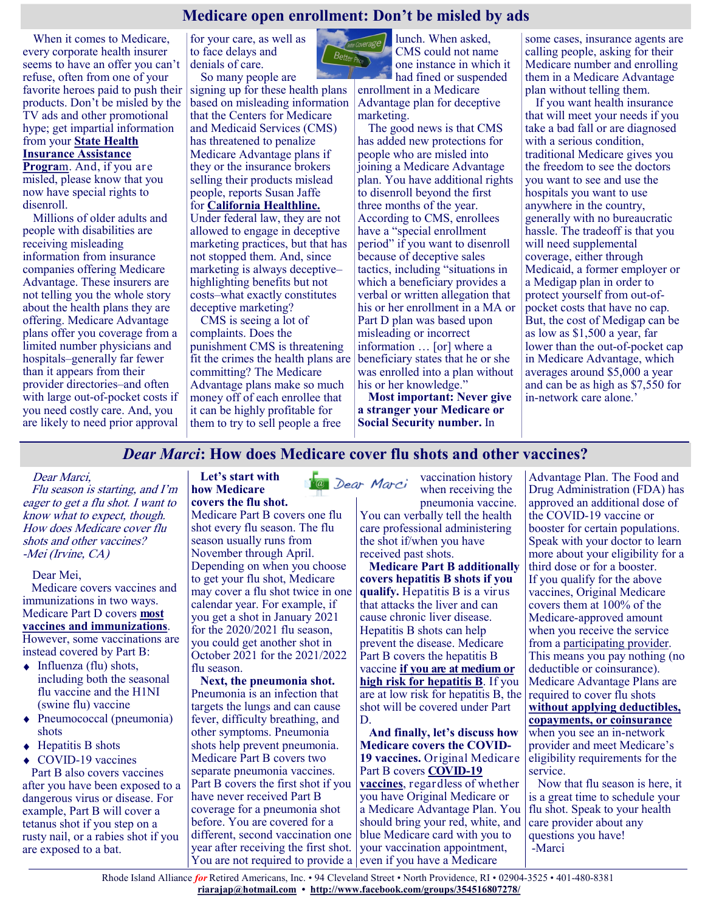# **Medicare open enrollment: Don't be misled by ads**

When it comes to Medicare, every corporate health insurer seems to have an offer you can't refuse, often from one of your favorite heroes paid to push their products. Don't be misled by the TV ads and other promotional hype; get impartial information from your **[State Health](http://www.shiphelp.org/)  [Insurance Assistance](http://www.shiphelp.org/)** 

**[Progra](http://www.shiphelp.org/)**m. And, if you are misled, please know that you now have special rights to disenroll.

Millions of older adults and people with disabilities are receiving misleading information from insurance companies offering Medicare Advantage. These insurers are not telling you the whole story about the health plans they are offering. Medicare Advantage plans offer you coverage from a limited number physicians and hospitals–generally far fewer than it appears from their provider directories–and often with large out-of-pocket costs if you need costly care. And, you are likely to need prior approval

for your care, as well as to face delays and denials of care.

So many people are signing up for these health plans based on misleading information that the Centers for Medicare and Medicaid Services (CMS) has threatened to penalize Medicare Advantage plans if they or the insurance brokers selling their products mislead people, reports Susan Jaffe for **[California Healthline.](https://californiahealthline.org/news/article/medicares-open-enrollment-is-open-season-for-scammers/)** Under federal law, they are not allowed to engage in deceptive marketing practices, but that has not stopped them. And, since marketing is always deceptive– highlighting benefits but not costs–what exactly constitutes deceptive marketing?

CMS is seeing a lot of complaints. Does the punishment CMS is threatening fit the crimes the health plans are committing? The Medicare Advantage plans make so much money off of each enrollee that it can be highly profitable for them to try to sell people a free



lunch. When asked, CMS could not name one instance in which it had fined or suspended enrollment in a Medicare Advantage plan for deceptive marketing.

The good news is that CMS has added new protections for people who are misled into joining a Medicare Advantage plan. You have additional rights to disenroll beyond the first three months of the year. According to CMS, enrollees have a "special enrollment period" if you want to disenroll because of deceptive sales tactics, including "situations in which a beneficiary provides a verbal or written allegation that his or her enrollment in a MA or Part D plan was based upon misleading or incorrect information … [or] where a beneficiary states that he or she was enrolled into a plan without his or her knowledge."

**Most important: Never give a stranger your Medicare or Social Security number.** In

some cases, insurance agents are calling people, asking for their Medicare number and enrolling them in a Medicare Advantage plan without telling them.

If you want health insurance that will meet your needs if you take a bad fall or are diagnosed with a serious condition, traditional Medicare gives you the freedom to see the doctors you want to see and use the hospitals you want to use anywhere in the country, generally with no bureaucratic hassle. The tradeoff is that you will need supplemental coverage, either through Medicaid, a former employer or a Medigap plan in order to protect yourself from out-ofpocket costs that have no cap. But, the cost of Medigap can be as low as \$1,500 a year, far lower than the out-of-pocket cap in Medicare Advantage, which averages around \$5,000 a year and can be as high as \$7,550 for in-network care alone.'

# *Dear Marci***: How does Medicare cover flu shots and other vaccines?**

### Dear Marci,

 Flu season is starting, and I'm eager to get a flu shot. I want to know what to expect, though. How does Medicare cover flu shots and other vaccines? -Mei (Irvine, CA)

### Dear Mei,

 Medicare covers vaccines and immunizations in two ways. Medicare Part D covers **[most](https://medicarerights.us15.list-manage.com/track/click?u=1621f54a596f3717c22815356&id=b6444d0248&e=88d22ba1fe)  [vaccines and immunizations](https://medicarerights.us15.list-manage.com/track/click?u=1621f54a596f3717c22815356&id=b6444d0248&e=88d22ba1fe)**. However, some vaccinations are instead covered by Part B:

- $\bullet$  Influenza (flu) shots, including both the seasonal flu vaccine and the H1NI (swine flu) vaccine
- ◆ Pneumococcal (pneumonia) shots
- $\triangleleft$  Hepatitis B shots
- ◆ COVID-19 vaccines

 Part B also covers vaccines after you have been exposed to a dangerous virus or disease. For example, Part B will cover a tetanus shot if you step on a rusty nail, or a rabies shot if you are exposed to a bat.

#### **Let's start with how Medicare covers the flu shot.**

Medicare Part B covers one flu shot every flu season. The flu season usually runs from November through April. Depending on when you choose to get your flu shot, Medicare may cover a flu shot twice in one calendar year. For example, if you get a shot in January 2021 for the 2020/2021 flu season, you could get another shot in October 2021 for the 2021/2022 flu season.

 **Next, the pneumonia shot.** Pneumonia is an infection that targets the lungs and can cause fever, difficulty breathing, and other symptoms. Pneumonia shots help prevent pneumonia. Medicare Part B covers two separate pneumonia vaccines. Part B covers the first shot if you have never received Part B coverage for a pneumonia shot before. You are covered for a different, second vaccination one year after receiving the first shot. You are not required to provide a even if you have a Medicare

vaccination history 1@ Dear Marci when receiving the pneumonia vaccine. You can verbally tell the health care professional administering the shot if/when you have received past shots.

 **Medicare Part B additionally covers hepatitis B shots if you qualify.** Hepatitis B is a virus that attacks the liver and can cause chronic liver disease. Hepatitis B shots can help prevent the disease. Medicare Part B covers the hepatitis B vaccine **[if you are at medium or](https://medicarerights.us15.list-manage.com/track/click?u=1621f54a596f3717c22815356&id=3f2fb5d872&e=88d22ba1fe)  [high risk for hepatitis B](https://medicarerights.us15.list-manage.com/track/click?u=1621f54a596f3717c22815356&id=3f2fb5d872&e=88d22ba1fe)**. If you are at low risk for hepatitis B, the shot will be covered under Part D.

 **And finally, let's discuss how Medicare covers the COVID-19 vaccines.** Original Medicare Part B covers **[COVID](https://medicarerights.us15.list-manage.com/track/click?u=1621f54a596f3717c22815356&id=2cdf9eab6f&e=88d22ba1fe)-19 [vaccines](https://medicarerights.us15.list-manage.com/track/click?u=1621f54a596f3717c22815356&id=2cdf9eab6f&e=88d22ba1fe)**, regardless of whether you have Original Medicare or a Medicare Advantage Plan. You should bring your red, white, and blue Medicare card with you to your vaccination appointment,

Advantage Plan. The Food and Drug Administration (FDA) has approved an additional dose of the COVID-19 vaccine or booster for certain populations. Speak with your doctor to learn more about your eligibility for a third dose or for a booster. If you qualify for the above vaccines, Original Medicare covers them at 100% of the Medicare-approved amount when you receive the service from a [participating provider.](https://medicarerights.us15.list-manage.com/track/click?u=1621f54a596f3717c22815356&id=409841bb70&e=88d22ba1fe)  This means you pay nothing (no deductible or coinsurance). Medicare Advantage Plans are required to cover flu shots **[without applying deductibles,](https://medicarerights.us15.list-manage.com/track/click?u=1621f54a596f3717c22815356&id=2527ce320a&e=88d22ba1fe)  [copayments, or coinsurance](https://medicarerights.us15.list-manage.com/track/click?u=1621f54a596f3717c22815356&id=2527ce320a&e=88d22ba1fe)** when you see an in-network provider and meet Medicare's eligibility requirements for the service.

 Now that flu season is here, it is a great time to schedule your flu shot. Speak to your health care provider about any questions you have! -Marci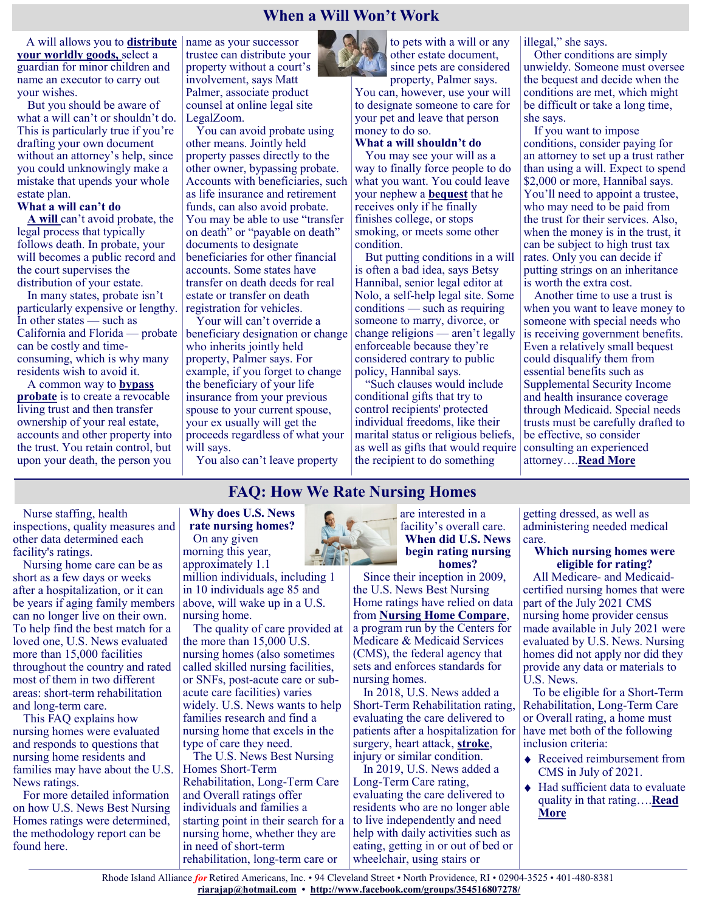## **When a Will Won't Work**

 A will allows you to **[distribute](https://www.nerdwallet.com/article/finance/your-kids-dont-want-your-stuff?utm_campaign=ct_prod&utm_content=1080652&utm_medium=rss&utm_source=syndication&utm_term=msn)  [your worldly goods,](https://www.nerdwallet.com/article/finance/your-kids-dont-want-your-stuff?utm_campaign=ct_prod&utm_content=1080652&utm_medium=rss&utm_source=syndication&utm_term=msn)** select a guardian for minor children and name an executor to carry out your wishes.

But you should be aware of what a will can't or shouldn't do. This is particularly true if you're drafting your own document without an attorney's help, since you could unknowingly make a mistake that upends your whole estate plan.

#### **What a will can't do**

**[A will](https://www.nerdwallet.com/article/investing/writing-a-will-how-to-stop-stalling-and-get-it-done?utm_campaign=ct_prod&utm_content=1080652&utm_medium=rss&utm_source=syndication&utm_term=msn)** can't avoid probate, the legal process that typically follows death. In probate, your will becomes a public record and the court supervises the distribution of your estate.

In many states, probate isn't particularly expensive or lengthy. In other states — such as California and Florida — probate can be costly and timeconsuming, which is why many residents wish to avoid it.

A common way to **[bypass](https://www.nerdwallet.com/article/finance/probate-workarounds?utm_campaign=ct_prod&utm_content=1080652&utm_medium=rss&utm_source=syndication&utm_term=msn)  [probate](https://www.nerdwallet.com/article/finance/probate-workarounds?utm_campaign=ct_prod&utm_content=1080652&utm_medium=rss&utm_source=syndication&utm_term=msn)** is to create a revocable living trust and then transfer ownership of your real estate, accounts and other property into the trust. You retain control, but upon your death, the person you

name as your successor trustee can distribute your property without a court's involvement, says Matt Palmer, associate product counsel at online legal site LegalZoom.

You can avoid probate using other means. Jointly held property passes directly to the other owner, bypassing probate. Accounts with beneficiaries, such as life insurance and retirement funds, can also avoid probate. You may be able to use "transfer on death" or "payable on death" documents to designate beneficiaries for other financial accounts. Some states have transfer on death deeds for real estate or transfer on death registration for vehicles.

Your will can't override a beneficiary designation or change who inherits jointly held property, Palmer says. For example, if you forget to change the beneficiary of your life insurance from your previous spouse to your current spouse, your ex usually will get the proceeds regardless of what your will says.

You also can't leave property



to pets with a will or any other estate document, since pets are considered

property, Palmer says. You can, however, use your will to designate someone to care for your pet and leave that person money to do so.

#### **What a will shouldn't do**

You may see your will as a way to finally force people to do what you want. You could leave your nephew a **[bequest](https://www.nerdwallet.com/article/finance/unequal-inheritance?utm_campaign=ct_prod&utm_content=1080652&utm_medium=rss&utm_source=syndication&utm_term=msn)** that he receives only if he finally finishes college, or stops smoking, or meets some other condition.

But putting conditions in a will is often a bad idea, says Betsy Hannibal, senior legal editor at Nolo, a self-help legal site. Some conditions — such as requiring someone to marry, divorce, or change religions — aren't legally enforceable because they're considered contrary to public policy, Hannibal says.

"Such clauses would include conditional gifts that try to control recipients' protected individual freedoms, like their marital status or religious beliefs, as well as gifts that would require the recipient to do something

illegal," she says.

Other conditions are simply unwieldy. Someone must oversee the bequest and decide when the conditions are met, which might be difficult or take a long time, she says.

If you want to impose conditions, consider paying for an attorney to set up a trust rather than using a will. Expect to spend \$2,000 or more, Hannibal says. You'll need to appoint a trustee, who may need to be paid from the trust for their services. Also, when the money is in the trust, it can be subject to high trust tax rates. Only you can decide if putting strings on an inheritance is worth the extra cost.

Another time to use a trust is when you want to leave money to someone with special needs who is receiving government benefits. Even a relatively small bequest could disqualify them from essential benefits such as Supplemental Security Income and health insurance coverage through Medicaid. Special needs trusts must be carefully drafted to be effective, so consider consulting an experienced attorney….**[Read More](https://www.msn.com/en-us/money/personalfinance/when-a-will-won-t-work/ar-AAQjLUm?ocid=SK2DDHP)**

## **FAQ: How We Rate Nursing Homes**

Nurse staffing, health inspections, quality measures and other data determined each facility's ratings.

Nursing home care can be as short as a few days or weeks after a hospitalization, or it can be years if aging family members can no longer live on their own. To help find the best match for a loved one, U.S. News evaluated more than 15,000 facilities throughout the country and rated most of them in two different areas: short-term rehabilitation and long-term care.

This FAQ explains how nursing homes were evaluated and responds to questions that nursing home residents and families may have about the U.S. News ratings.

For more detailed information on how U.S. News Best Nursing Homes ratings were determined, the methodology report can be found here.

**Why does U.S. News rate nursing homes?** On any given

morning this year, approximately 1.1 million individuals, including 1 in 10 individuals age 85 and above, will wake up in a U.S. nursing home.

The quality of care provided at the more than 15,000 U.S. nursing homes (also sometimes called skilled nursing facilities, or SNFs, post-acute care or subacute care facilities) varies widely. U.S. News wants to help families research and find a nursing home that excels in the type of care they need.

The U.S. News Best Nursing Homes Short-Term Rehabilitation, Long-Term Care and Overall ratings offer individuals and families a starting point in their search for a nursing home, whether they are in need of short-term rehabilitation, long-term care or



Since their inception in 2009, the U.S. News Best Nursing Home ratings have relied on data from **[Nursing Home Compare](https://www.medicare.gov/nursinghomecompare/search.html)**, a program run by the Centers for Medicare & Medicaid Services (CMS), the federal agency that sets and enforces standards for nursing homes.

In 2018, U.S. News added a Short-Term Rehabilitation rating, evaluating the care delivered to patients after a hospitalization for surgery, heart attack, **[stroke](https://health.usnews.com/health-care/for-better/articles/stroke-rehabilitation-what-to-know)**, injury or similar condition.

In 2019, U.S. News added a Long-Term Care rating, evaluating the care delivered to residents who are no longer able to live independently and need help with daily activities such as eating, getting in or out of bed or wheelchair, using stairs or

getting dressed, as well as administering needed medical care.

### **Which nursing homes were eligible for rating?**

All Medicare- and Medicaidcertified nursing homes that were part of the July 2021 CMS nursing home provider census made available in July 2021 were evaluated by U.S. News. Nursing homes did not apply nor did they provide any data or materials to U.S. News.

To be eligible for a Short-Term Rehabilitation, Long-Term Care or Overall rating, a home must have met both of the following inclusion criteria:

- Received reimbursement from CMS in July of 2021.
- ◆ Had sufficient data to evaluate quality in that rating….**[Read](https://health.usnews.com/health-news/best-nursing-homes/articles/faq-how-we-rate-nursing-homes)  [More](https://health.usnews.com/health-news/best-nursing-homes/articles/faq-how-we-rate-nursing-homes)**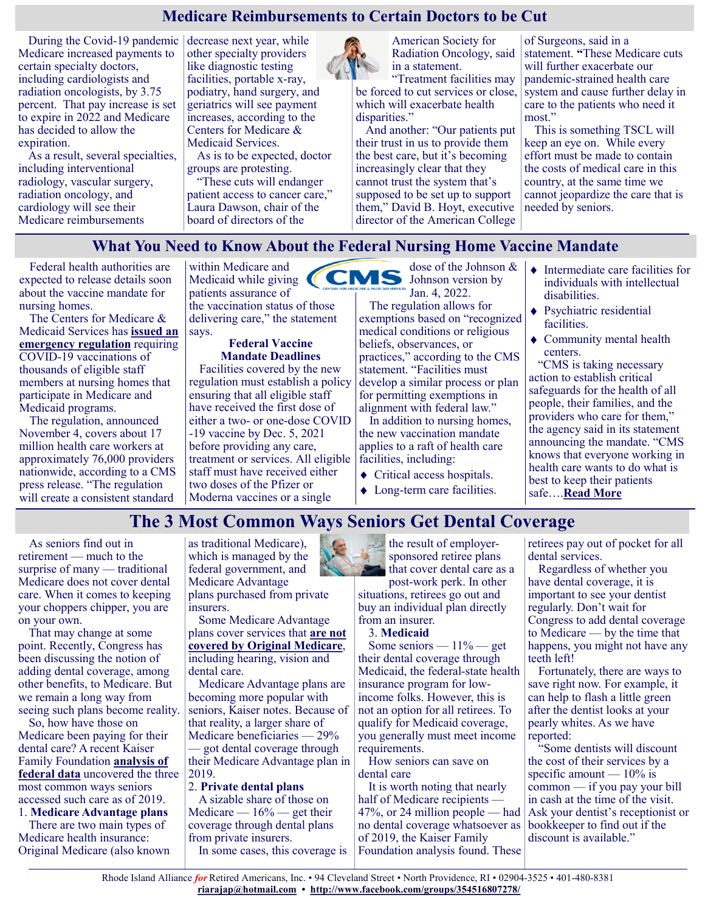# **Medicare Reimbursements to Certain Doctors to be Cut**

During the Covid-19 pandemic Medicare increased payments to certain specialty doctors, including cardiologists and radiation oncologists, by 3.75 percent. That pay increase is set to expire in 2022 and Medicare has decided to allow the expiration.

As a result, several specialties, including interventional radiology, vascular surgery, radiation oncology, and cardiology will see their Medicare reimbursements

decrease next year, while other specialty providers like diagnostic testing facilities, portable x-ray, podiatry, hand surgery, and geriatrics will see payment increases, according to the Centers for Medicare & Medicaid Services.

As is to be expected, doctor groups are protesting.

"These cuts will endanger patient access to cancer care," Laura Dawson, chair of the board of directors of the



American Society for Radiation Oncology, said in a statement.

"Treatment facilities may be forced to cut services or close, which will exacerbate health disparities."

And another: "Our patients put their trust in us to provide them the best care, but it's becoming increasingly clear that they cannot trust the system that's supposed to be set up to support them," David B. Hoyt, executive director of the American College

of Surgeons, said in a statement. **"**These Medicare cuts will further exacerbate our pandemic-strained health care system and cause further delay in care to the patients who need it most."

This is something TSCL will keep an eye on. While every effort must be made to contain the costs of medical care in this country, at the same time we cannot jeopardize the care that is needed by seniors.

## **What You Need to Know About the Federal Nursing Home Vaccine Mandate**

Federal health authorities are expected to release details soon about the vaccine mandate for nursing homes.

The Centers for Medicare & Medicaid Services has **[issued an](https://www.cms.gov/newsroom/press-releases/biden-harris-administration-issues-emergency-regulation-requiring-covid-19-vaccination-health-care)  [emergency regulation](https://www.cms.gov/newsroom/press-releases/biden-harris-administration-issues-emergency-regulation-requiring-covid-19-vaccination-health-care)** requiring COVID-19 vaccinations of thousands of eligible staff members at nursing homes that participate in Medicare and Medicaid programs.

The regulation, announced November 4, covers about 17 million [health care workers](https://health.usnews.com/hospital-heroes/articles/with-vaccine-hesitant-health-care-workers-try-empathy) at approximately 76,000 providers nationwide, according to a CMS press release. "The regulation will create a consistent standard within Medicare and Medicaid while giving  $\left($  **CND** Johnson version by patients assurance of the vaccination status of those delivering care," the statement says.

## **Federal Vaccine Mandate Deadlines**

Facilities covered by the new regulation must establish a policy ensuring that all eligible staff have received the first dose of either a two- or one-dose COVID -19 vaccine by Dec. 5, 2021 before providing any care, treatment or services. All eligible staff must have received either two doses of the Pfizer or Moderna vaccines or a single

dose of the Johnson & Jan. 4, 2022.

The regulation allows for exemptions based on "recognized medical conditions or religious beliefs, observances, or practices," according to the CMS statement. "Facilities must develop a similar process or plan for permitting exemptions in alignment with federal law."

In addition to nursing homes, the new vaccination mandate applies to a raft of health care facilities, including:

- Critical access hospitals.
- Long-term care facilities.
- Intermediate care facilities for individuals with intellectual disabilities.
- Psychiatric residential facilities.
- ◆ Community mental health centers.

 "CMS is taking necessary action to establish critical safeguards for the health of all people, their families, and the providers who care for them," the agency said in its statement announcing the mandate. "CMS knows that everyone working in health care wants to do what is best to keep their patients safe….**[Read More](https://health.usnews.com/best-nursing-homes/articles/vaccine-mandates-in-nursing-homes)**

# **The 3 Most Common Ways Seniors Get Dental Coverage**

As seniors find out in retirement — much to the surprise of many — traditional Medicare does not cover dental care. When it comes to keeping your choppers chipper, you are on your own.

That may change at some point. Recently, Congress has been discussing the notion of adding dental coverage, among other benefits, to Medicare. But we remain a long way from seeing such plans become reality.

So, how have those on Medicare been paying for their dental care? A recent Kaiser Family Foundation **[analysis of](https://www.kff.org/medicare/issue-brief/medicare-and-dental-coverage-a-closer-look/)  [federal data](https://www.kff.org/medicare/issue-brief/medicare-and-dental-coverage-a-closer-look/)** uncovered the three most common ways seniors accessed such care as of 2019.

1. **Medicare Advantage plans** There are two main types of Medicare health insurance: Original Medicare (also known as traditional Medicare), which is managed by the federal government, and Medicare Advantage plans purchased from private insurers.

Some Medicare Advantage plans cover services that **[are not](https://www.moneytalksnews.com/slideshows/costs-that-medicare-does-not-cover/)  [covered by Original Medicare](https://www.moneytalksnews.com/slideshows/costs-that-medicare-does-not-cover/)**, including hearing, vision and dental care.

Medicare Advantage plans are becoming more popular with seniors, Kaiser notes. Because of that reality, a larger share of Medicare beneficiaries — 29% — got dental coverage through their Medicare Advantage plan in 2019.

## 2. **Private dental plans**

A sizable share of those on Medicare  $-16%$  — get their coverage through dental plans from private insurers. In some cases, this coverage is



the result of employersponsored retiree plans that cover dental care as a

post-work perk. In other situations, retirees go out and buy an individual plan directly from an insurer.

### 3. **Medicaid**

Some seniors  $-11%$  - get their dental coverage through Medicaid, the federal-state health insurance program for lowincome folks. However, this is not an option for all retirees. To qualify for Medicaid coverage, you generally must meet income requirements.

How seniors can save on dental care

It is worth noting that nearly half of Medicare recipients — 47%, or 24 million people — had no dental coverage whatsoever as of 2019, the Kaiser Family Foundation analysis found. These

retirees pay out of pocket for all dental services.

Regardless of whether you have dental coverage, it is important to see your dentist regularly. Don't wait for Congress to add dental coverage to Medicare — by the time that happens, you might not have any teeth left!

Fortunately, there are ways to save right now. For example, it can help to flash a little green after the dentist looks at your pearly whites. As we have reported:

"Some dentists will discount the cost of their services by a specific amount  $-10\%$  is common — if you pay your bill in cash at the time of the visit. Ask your dentist's receptionist or bookkeeper to find out if the discount is available."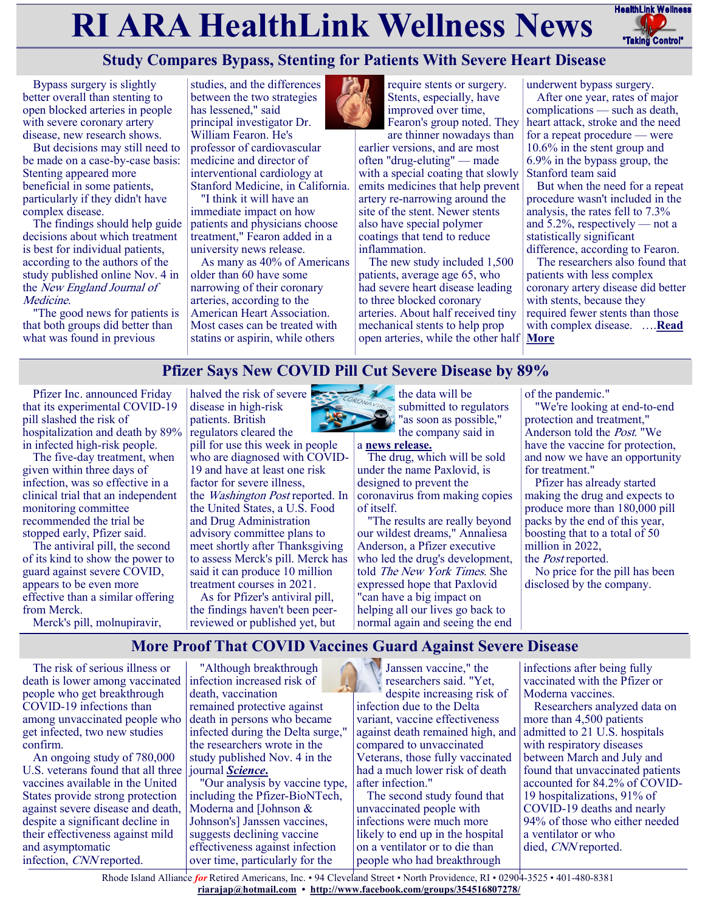# **RI ARA HealthLink Wellness News** Fractific Link Wellness



# **Study Compares Bypass, Stenting for Patients With Severe Heart Disease**

Bypass surgery is slightly better overall than stenting to open blocked arteries in people with severe coronary artery disease, new research shows.

But decisions may still need to be made on a case-by-case basis: Stenting appeared more beneficial in some patients, particularly if they didn't have complex disease.

The findings should help guide decisions about which treatment is best for individual patients, according to the authors of the study published online Nov. 4 in the New England Journal of Medicine.

"The good news for patients is that both groups did better than what was found in previous

studies, and the differences between the two strategies has lessened," said principal investigator Dr. William Fearon. He's professor of cardiovascular medicine and director of interventional cardiology at Stanford Medicine, in California.

"I think it will have an immediate impact on how patients and physicians choose treatment," Fearon added in a university news release.

As many as 40% of Americans older than 60 have some narrowing of their coronary arteries, according to the American Heart Association. Most cases can be treated with statins or aspirin, while others



require stents or surgery. Stents, especially, have improved over time, Fearon's group noted. They are thinner nowadays than

earlier versions, and are most often "drug-eluting" — made with a special coating that slowly emits medicines that help prevent artery re-narrowing around the site of the stent. Newer stents also have special polymer coatings that tend to reduce inflammation.

The new study included 1,500 patients, average age 65, who had severe heart disease leading to three blocked coronary arteries. About half received tiny mechanical stents to help prop open arteries, while the other half

underwent bypass surgery.

After one year, rates of major complications — such as death, heart attack, stroke and the need for a repeat procedure — were 10.6% in the stent group and 6.9% in the bypass group, the Stanford team said

But when the need for a repeat procedure wasn't included in the analysis, the rates fell to 7.3% and  $5.2\%$ , respectively — not a statistically significant difference, according to Fearon.

The researchers also found that patients with less complex coronary artery disease did better with stents, because they required fewer stents than those with complex disease. ….**[Read](https://consumer.healthday.com/sb-11-5-study-compares-bypass-and-stenting-for-patients-with-severe-heart-disease-2655490100.html)  [More](https://consumer.healthday.com/sb-11-5-study-compares-bypass-and-stenting-for-patients-with-severe-heart-disease-2655490100.html)**

# **Pfizer Says New COVID Pill Cut Severe Disease by 89%**

Pfizer Inc. announced Friday that its experimental COVID-19 pill slashed the risk of hospitalization and death by 89% in infected high-risk people.

The five-day treatment, when given within three days of infection, was so effective in a clinical trial that an independent monitoring committee recommended the trial be stopped early, Pfizer said.

The antiviral pill, the second of its kind to show the power to guard against severe COVID, appears to be even more effective than a similar offering from Merck.

Merck's pill, molnupiravir,

halved the risk of severe disease in high-risk patients. British regulators cleared the

pill for use this week in people who are diagnosed with COVID-19 and have at least one risk factor for severe illness, the Washington Post reported. In the United States, a U.S. Food and Drug Administration advisory committee plans to meet shortly after Thanksgiving to assess Merck's pill. Merck has said it can produce 10 million treatment courses in 2021.

As for Pfizer's antiviral pill, the findings haven't been peerreviewed or published yet, but



submitted to regulators "as soon as possible," the company said in

# a **[news release.](https://www.pfizer.com/news/press-release/press-release-detail/pfizers-novel-covid-19-oral-antiviral-treatment-candidate)**

The drug, which will be sold under the name Paxlovid, is designed to prevent the coronavirus from making copies of itself.

"The results are really beyond our wildest dreams," Annaliesa Anderson, a Pfizer executive who led the drug's development, told The New York Times. She expressed hope that Paxlovid "can have a big impact on helping all our lives go back to normal again and seeing the end of the pandemic."

"We're looking at end-to-end protection and treatment," Anderson told the Post. "We have the vaccine for protection, and now we have an opportunity for treatment."

Pfizer has already started making the drug and expects to produce more than 180,000 pill packs by the end of this year, boosting that to a total of 50 million in 2022, the *Post* reported.

No price for the pill has been disclosed by the company.

**More Proof That COVID Vaccines Guard Against Severe Disease**

The risk of serious illness or death is lower among vaccinated people who get breakthrough COVID-19 infections than among unvaccinated people who get infected, two new studies confirm.

An ongoing study of 780,000 U.S. veterans found that all three vaccines available in the United States provide strong protection against severe disease and death, despite a significant decline in their effectiveness against mild and asymptomatic infection, CNN reported.

"Although breakthrough infection increased risk of death, vaccination remained protective against death in persons who became infected during the Delta surge," the researchers wrote in the study published Nov. 4 in the journal *[Science](https://www.science.org/doi/10.1126/science.abm0620)***.**

"Our analysis by vaccine type, including the Pfizer-BioNTech, Moderna and [Johnson & Johnson's] Janssen vaccines, suggests declining vaccine effectiveness against infection over time, particularly for the

Janssen vaccine," the researchers said. "Yet, despite increasing risk of infection due to the Delta variant, vaccine effectiveness against death remained high, and compared to unvaccinated Veterans, those fully vaccinated had a much lower risk of death after infection."

The second study found that unvaccinated people with infections were much more likely to end up in the hospital on a ventilator or to die than people who had breakthrough

infections after being fully vaccinated with the Pfizer or Moderna vaccines.

Researchers analyzed data on more than 4,500 patients admitted to 21 U.S. hospitals with respiratory diseases between March and July and found that unvaccinated patients accounted for 84.2% of COVID-19 hospitalizations, 91% of COVID-19 deaths and nearly 94% of those who either needed a ventilator or who died, CNN reported.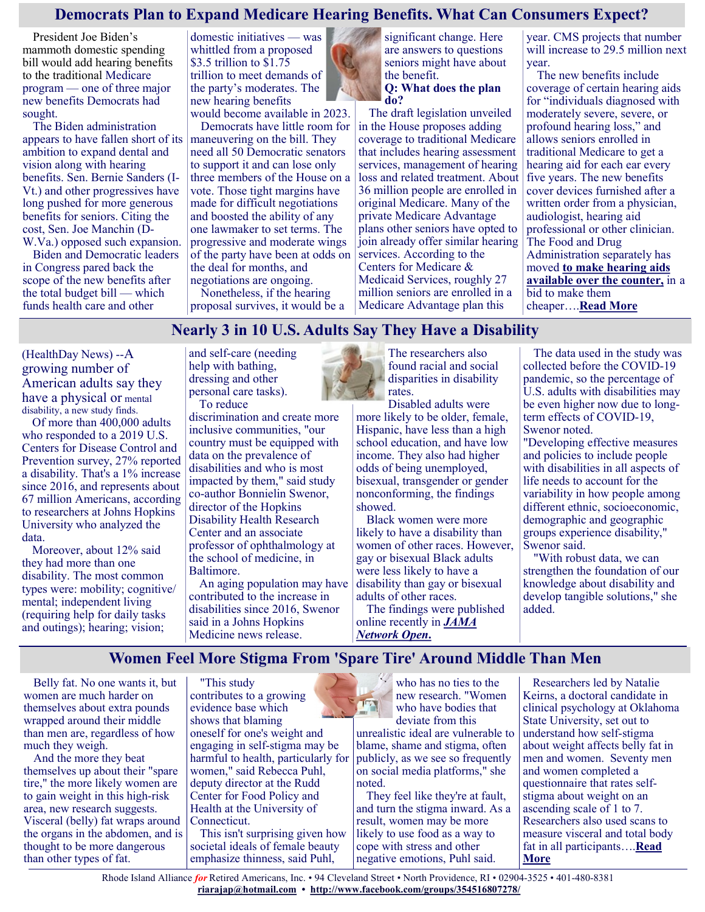# **Democrats Plan to Expand Medicare Hearing Benefits. What Can Consumers Expect?**

President Joe Biden's mammoth domestic spending bill would add hearing benefits to the traditional Medicare program — one of three major new benefits Democrats had sought.

The Biden administration appears to have fallen short of its ambition to expand dental and vision along with hearing benefits. Sen. Bernie Sanders (I-Vt.) and other progressives have long pushed for more generous benefits for seniors. Citing the cost, Sen. Joe Manchin (D-W.Va.) opposed such expansion.

Biden and Democratic leaders in Congress pared back the scope of the new benefits after the total budget bill — which funds health care and other

domestic initiatives — was whittled from a proposed \$3.5 trillion to \$1.75 trillion to meet demands of the party's moderates. The new hearing benefits

would become available in 2023. Democrats have little room for maneuvering on the bill. They need all 50 Democratic senators to support it and can lose only three members of the House on a vote. Those tight margins have made for difficult negotiations and boosted the ability of any one lawmaker to set terms. The progressive and moderate wings of the party have been at odds on the deal for months, and negotiations are ongoing.

Nonetheless, if the hearing proposal survives, it would be a significant change. Here are answers to questions seniors might have about the benefit.

## **Q: What does the plan do?**

The draft legislation unveiled in the House proposes adding coverage to traditional Medicare that includes hearing assessment services, management of hearing loss and related treatment. About 36 million people are enrolled in original Medicare. Many of the private Medicare Advantage plans other seniors have opted to join already offer similar hearing services. According to the Centers for Medicare & Medicaid Services, roughly 27 million seniors are enrolled in a Medicare Advantage plan this

year. CMS projects that number will increase to 29.5 million next year.

The new benefits include coverage of certain hearing aids for "individuals diagnosed with moderately severe, severe, or profound hearing loss," and allows seniors enrolled in traditional Medicare to get a hearing aid for each ear every five years. The new benefits cover devices furnished after a written order from a physician, audiologist, hearing aid professional or other clinician. The Food and Drug Administration separately has moved **[to make hearing aids](https://www.fda.gov/news-events/press-announcements/fda-issues-landmark-proposal-improve-access-hearing-aid-technology-millions-americans)  [available over the counter,](https://www.fda.gov/news-events/press-announcements/fda-issues-landmark-proposal-improve-access-hearing-aid-technology-millions-americans)** in a bid to make them cheaper….**[Read More](https://khn.org/news/article/democrats-plan-to-expand-medicare-hearing-benefits-what-can-consumers-expect/)**

## **Nearly 3 in 10 U.S. Adults Say They Have a Disability**

(HealthDay News) --A growing number of American adults say they have a physical or mental disability, a new study finds.

Of more than 400,000 adults who responded to a 2019 U.S. Centers for Disease Control and Prevention survey, 27% reported a disability. That's a 1% increase since 2016, and represents about 67 million Americans, according to researchers at Johns Hopkins University who analyzed the data.

Moreover, about 12% said they had more than one disability. The most common types were: mobility; cognitive/ mental; independent living (requiring help for daily tasks and outings); hearing; vision;

and self-care (needing help with bathing, dressing and other personal care tasks). To reduce

discrimination and create more inclusive communities, "our country must be equipped with data on the prevalence of disabilities and who is most impacted by them," said study co-author Bonnielin Swenor, director of the Hopkins Disability Health Research Center and an associate professor of ophthalmology at the school of medicine, in Baltimore.

An aging population may have contributed to the increase in disabilities since 2016, Swenor said in a Johns Hopkins Medicine news release.



Disabled adults were more likely to be older, female, Hispanic, have less than a high school education, and have low income. They also had higher odds of being unemployed, bisexual, transgender or gender nonconforming, the findings showed.

Black women were more likely to have a disability than women of other races. However, gay or bisexual Black adults were less likely to have a disability than gay or bisexual adults of other races.

The findings were published online recently in *[JAMA](https://jamanetwork.com/journals/jamanetworkopen/fullarticle/2785329?resultClick=3)  [Network Open](https://jamanetwork.com/journals/jamanetworkopen/fullarticle/2785329?resultClick=3)***.**

The data used in the study was collected before the COVID-19 pandemic, so the percentage of U.S. adults with disabilities may be even higher now due to longterm effects of COVID-19, Swenor noted.

"Developing effective measures and policies to include people with disabilities in all aspects of life needs to account for the variability in how people among different ethnic, socioeconomic, demographic and geographic groups experience disability," Swenor said.

"With robust data, we can strengthen the foundation of our knowledge about disability and develop tangible solutions," she added.

## **Women Feel More Stigma From 'Spare Tire' Around Middle Than Men**

TT

Belly fat. No one wants it, but women are much harder on themselves about extra pounds wrapped around their middle than men are, regardless of how much they weigh.

And the more they beat themselves up about their "spare tire," the more likely women are to gain weight in this high-risk area, new research suggests. Visceral (belly) fat wraps around the organs in the abdomen, and is thought to be more dangerous than other types of fat.

"This study contributes to a growing evidence base which shows that blaming oneself for one's weight and engaging in self-stigma may be harmful to health, particularly for women," said Rebecca Puhl, deputy director at the Rudd Center for Food Policy and Health at the University of Connecticut.

This isn't surprising given how societal ideals of female beauty emphasize thinness, said Puhl,



unrealistic ideal are vulnerable to blame, shame and stigma, often publicly, as we see so frequently on social media platforms," she noted.

They feel like they're at fault, and turn the stigma inward. As a result, women may be more likely to use food as a way to cope with stress and other negative emotions, Puhl said.

Researchers led by Natalie Keirns, a doctoral candidate in clinical psychology at Oklahoma State University, set out to understand how self-stigma about weight affects belly fat in men and women. Seventy men and women completed a questionnaire that rates selfstigma about weight on an ascending scale of 1 to 7. Researchers also used scans to measure visceral and total body fat in all participants….**[Read](https://consumer.healthday.com/11-9-women-feel-more-stigma-from-spare-tire-around-middle-than-men-2655480349.html)  [More](https://consumer.healthday.com/11-9-women-feel-more-stigma-from-spare-tire-around-middle-than-men-2655480349.html)**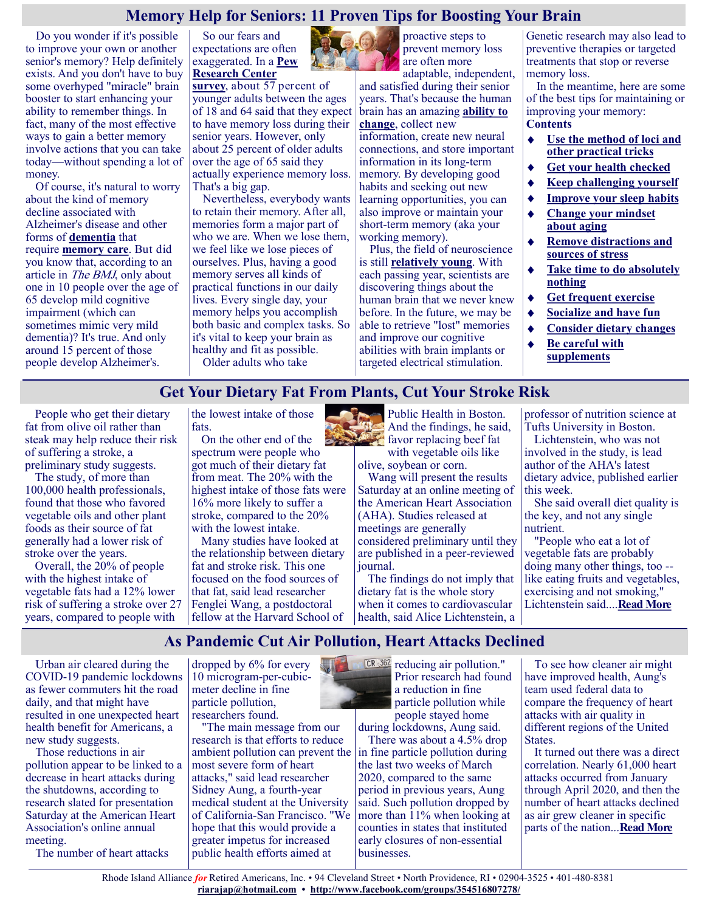# **Memory Help for Seniors: 11 Proven Tips for Boosting Your Brain**

Do you wonder if it's possible to improve your own or another senior's memory? Help definitely exists. And you don't have to buy some overhyped "miracle" brain booster to start enhancing your ability to remember things. In fact, many of the most effective ways to gain a better memory involve actions that you can take today—without spending a lot of money.

Of course, it's natural to worry about the kind of memory decline associated with Alzheimer's disease and other forms of **[dementia](https://www.greatseniorliving.com/health-wellness/dementia)** that require **[memory care](https://www.greatseniorliving.com/living-options/memory-care)**. But did you know that, according to an article in [The BMJ](https://www.ncbi.nlm.nih.gov/pmc/articles/PMC1123445/), only about one in 10 people over the age of 65 develop mild cognitive impairment (which can sometimes mimic very mild dementia)? It's true. And only around 15 percent of those people develop Alzheimer's.

So our fears and expectations are often exaggerated. In a **[Pew](https://www.pewresearch.org/social-trends/2009/06/29/growing-old-in-america-expectations-vs-reality/)  [Research Center](https://www.pewresearch.org/social-trends/2009/06/29/growing-old-in-america-expectations-vs-reality/)** 

**[survey](https://www.pewresearch.org/social-trends/2009/06/29/growing-old-in-america-expectations-vs-reality/)**, about 57 percent of younger adults between the ages of 18 and 64 said that they expect to have memory loss during their senior years. However, only about 25 percent of older adults over the age of 65 said they actually experience memory loss. That's a big gap.

Nevertheless, everybody wants to retain their memory. After all, memories form a major part of who we are. When we lose them, we feel like we lose pieces of ourselves. Plus, having a good memory serves all kinds of practical functions in our daily lives. Every single day, your memory helps you accomplish both basic and complex tasks. So it's vital to keep your brain as healthy and fit as possible. Older adults who take

proactive steps to prevent memory loss are often more

adaptable, independent, and satisfied during their senior years. That's because the human brain has an amazing **[ability to](https://www.apa.org/research/action/memory-changes)  [change](https://www.apa.org/research/action/memory-changes)**, collect new

information, create new neural connections, and store important information in its long-term memory. By developing good habits and seeking out new learning opportunities, you can also improve or maintain your short-term memory (aka your working memory).

Plus, the field of neuroscience is still **[relatively young](https://academic.oup.com/psychsocgerontology/article/72/1/82/2631933)**. With each passing year, scientists are discovering things about the human brain that we never knew before. In the future, we may be able to retrieve "lost" memories and improve our cognitive abilities with brain implants or targeted electrical stimulation.

Genetic research may also lead to preventive therapies or targeted treatments that stop or reverse memory loss.

In the meantime, here are some of the best tips for maintaining or improving your memory: **Contents**

- **[Use the method of loci and](https://www.greatseniorliving.com/health-wellness/memory-help#loci)  [other practical tricks](https://www.greatseniorliving.com/health-wellness/memory-help#loci)**
- **[Get your health checked](https://www.greatseniorliving.com/health-wellness/memory-help#health-checked)**  $\bullet$
- **[Keep challenging yourself](https://www.greatseniorliving.com/health-wellness/memory-help#challenge)**
- **[Improve your sleep habits](https://www.greatseniorliving.com/health-wellness/memory-help#improve-sleep)**
- **[Change your mindset](https://www.greatseniorliving.com/health-wellness/memory-help#change-mindset)**   $\ddot{\bullet}$ **[about aging](https://www.greatseniorliving.com/health-wellness/memory-help#change-mindset)**
- **[Remove distractions and](https://www.greatseniorliving.com/health-wellness/memory-help#remove-distractions)**  ٠ **[sources of stress](https://www.greatseniorliving.com/health-wellness/memory-help#remove-distractions)**
- **[Take time to do absolutely](https://www.greatseniorliving.com/health-wellness/memory-help#take-time)**  ٠ **[nothing](https://www.greatseniorliving.com/health-wellness/memory-help#take-time)**
- **[Get frequent exercise](https://www.greatseniorliving.com/health-wellness/memory-help#get-exercise)**
- **[Socialize and have fun](https://www.greatseniorliving.com/health-wellness/memory-help#socialize)**
- **[Consider dietary changes](https://www.greatseniorliving.com/health-wellness/memory-help#dietary-changes)**
- **[Be careful with](https://www.greatseniorliving.com/health-wellness/memory-help#careful-supplements)  [supplements](https://www.greatseniorliving.com/health-wellness/memory-help#careful-supplements)**

## **Get Your Dietary Fat From Plants, Cut Your Stroke Risk**

People who get their dietary fat from olive oil rather than steak may help reduce their risk of suffering a stroke, a preliminary study suggests.

The study, of more than 100,000 health professionals, found that those who favored vegetable oils and other plant foods as their source of fat generally had a lower risk of stroke over the years.

Overall, the 20% of people with the highest intake of vegetable fats had a 12% lower risk of suffering a stroke over 27 years, compared to people with

the lowest intake of those fats.

On the other end of the spectrum were people who got much of their dietary fat from meat. The 20% with the highest intake of those fats were 16% more likely to suffer a stroke, compared to the 20% with the lowest intake.

Many studies have looked at the relationship between dietary fat and stroke risk. This one focused on the food sources of that fat, said lead researcher Fenglei Wang, a postdoctoral fellow at the Harvard School of

Public Health in Boston. And the findings, he said, favor replacing beef fat with vegetable oils like

olive, soybean or corn.

Wang will present the results Saturday at an online meeting of the American Heart Association (AHA). Studies released at meetings are generally considered preliminary until they are published in a peer-reviewed journal.

The findings do not imply that dietary fat is the whole story when it comes to cardiovascular health, said Alice Lichtenstein, a professor of nutrition science at Tufts University in Boston.

Lichtenstein, who was not involved in the study, is lead author of the AHA's latest dietary advice, published earlier this week.

She said overall diet quality is the key, and not any single nutrient.

"People who eat a lot of vegetable fats are probably doing many other things, too - like eating fruits and vegetables, exercising and not smoking," Lichtenstein said....**[Read More](https://consumer.healthday.com/11-8-get-your-dietary-fat-from-plants-and-cut-your-stroke-risk-2655480274.html)**

## **As Pandemic Cut Air Pollution, Heart Attacks Declined**

Urban air cleared during the COVID-19 pandemic lockdowns as fewer commuters hit the road daily, and that might have resulted in one unexpected heart health benefit for Americans, a new study suggests.

Those reductions in air pollution appear to be linked to a decrease in heart attacks during the shutdowns, according to research slated for presentation Saturday at the American Heart Association's online annual meeting.

The number of heart attacks

dropped by 6% for every 10 microgram-per-cubicmeter decline in fine particle pollution, researchers found.

"The main message from our research is that efforts to reduce ambient pollution can prevent the most severe form of heart attacks," said lead researcher Sidney Aung, a fourth-year medical student at the University of California-San Francisco. "We hope that this would provide a greater impetus for increased public health efforts aimed at



Prior research had found a reduction in fine particle pollution while people stayed home

during lockdowns, Aung said. There was about a 4.5% drop in fine particle pollution during the last two weeks of March 2020, compared to the same period in previous years, Aung said. Such pollution dropped by more than 11% when looking at counties in states that instituted early closures of non-essential businesses.

To see how cleaner air might have improved health, Aung's team used federal data to compare the frequency of heart attacks with air quality in different regions of the United States.

It turned out there was a direct correlation. Nearly 61,000 heart attacks occurred from January through April 2020, and then the number of heart attacks declined as air grew cleaner in specific parts of the nation...**[Read More](https://consumer.healthday.com/11-8-as-pandemic-cut-air-pollution-heart-attacks-declined-2655480044.html)**